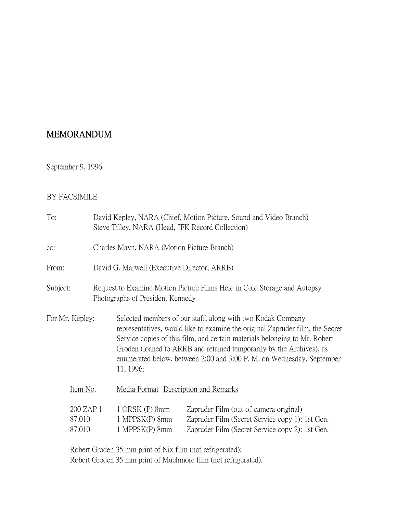## MEMORANDUM

## September 9, 1996

## BY FACSIMILE

| To:                           |          |  | Steve Tilley, NARA (Head, JFK Record Collection)                                                                                                                                                                                                                                                                                                                                         | David Kepley, NARA (Chief, Motion Picture, Sound and Video Branch)                                                                           |  |
|-------------------------------|----------|--|------------------------------------------------------------------------------------------------------------------------------------------------------------------------------------------------------------------------------------------------------------------------------------------------------------------------------------------------------------------------------------------|----------------------------------------------------------------------------------------------------------------------------------------------|--|
| $cc$ :                        |          |  | Charles Mayn, NARA (Motion Picture Branch)                                                                                                                                                                                                                                                                                                                                               |                                                                                                                                              |  |
| From:                         |          |  | David G. Marwell (Executive Director, ARRB)                                                                                                                                                                                                                                                                                                                                              |                                                                                                                                              |  |
| Subject:                      |          |  | Request to Examine Motion Picture Films Held in Cold Storage and Autopsy<br>Photographs of President Kennedy                                                                                                                                                                                                                                                                             |                                                                                                                                              |  |
| For Mr. Kepley:               |          |  | Selected members of our staff, along with two Kodak Company<br>representatives, would like to examine the original Zapruder film, the Secret<br>Service copies of this film, and certain materials belonging to Mr. Robert<br>Groden (loaned to ARRB and retained temporarily by the Archives), as<br>enumerated below, between 2:00 and 3:00 P. M. on Wednesday, September<br>11, 1996: |                                                                                                                                              |  |
|                               | Item No. |  | Media Format Description and Remarks                                                                                                                                                                                                                                                                                                                                                     |                                                                                                                                              |  |
| 200 ZAP 1<br>87.010<br>87.010 |          |  | 1 ORSK (P) 8mm<br>1 MPPSK(P) 8mm<br>1 MPPSK(P) 8mm                                                                                                                                                                                                                                                                                                                                       | Zapruder Film (out-of-camera original)<br>Zapruder Film (Secret Service copy 1): 1st Gen.<br>Zapruder Film (Secret Service copy 2): 1st Gen. |  |

Robert Groden 35 mm print of Nix film (not refrigerated); Robert Groden 35 mm print of Muchmore film (not refrigerated).